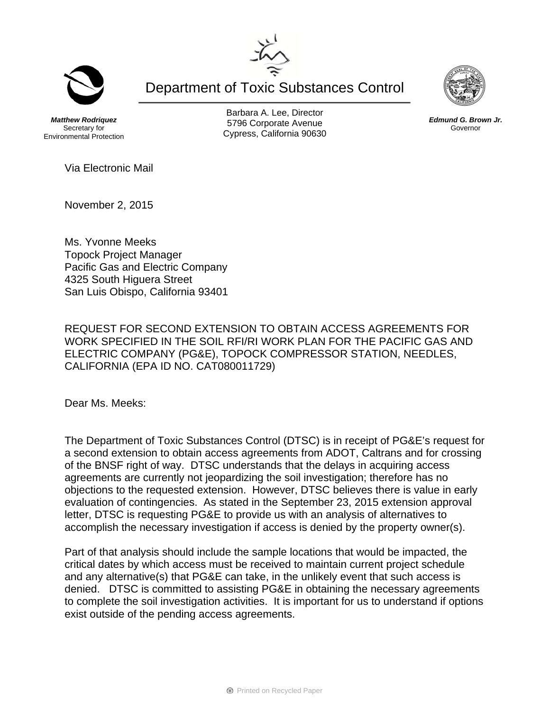Department of Toxic Substances Control

*Matthew Rodriquez*  Secretary for Environmental Protection

Barbara A. Lee, Director 5796 Corporate Avenue Cypress, California 90630

Via Electronic Mail

November 2, 2015

Ms. Yvonne Meeks Topock Project Manager Pacific Gas and Electric Company 4325 South Higuera Street San Luis Obispo, California 93401

REQUEST FOR SECOND EXTENSION TO OBTAIN ACCESS AGREEMENTS FOR WORK SPECIFIED IN THE SOIL RFI/RI WORK PLAN FOR THE PACIFIC GAS AND ELECTRIC COMPANY (PG&E), TOPOCK COMPRESSOR STATION, NEEDLES, CALIFORNIA (EPA ID NO. CAT080011729)

Dear Ms. Meeks:

The Department of Toxic Substances Control (DTSC) is in receipt of PG&E's request for a second extension to obtain access agreements from ADOT, Caltrans and for crossing of the BNSF right of way. DTSC understands that the delays in acquiring access agreements are currently not jeopardizing the soil investigation; therefore has no objections to the requested extension. However, DTSC believes there is value in early evaluation of contingencies. As stated in the September 23, 2015 extension approval letter, DTSC is requesting PG&E to provide us with an analysis of alternatives to accomplish the necessary investigation if access is denied by the property owner(s).

Part of that analysis should include the sample locations that would be impacted, the critical dates by which access must be received to maintain current project schedule and any alternative(s) that PG&E can take, in the unlikely event that such access is denied. DTSC is committed to assisting PG&E in obtaining the necessary agreements to complete the soil investigation activities. It is important for us to understand if options exist outside of the pending access agreements.





*Edmund G. Brown Jr.*  Governor